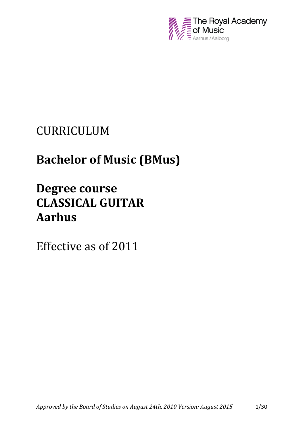

# CURRICULUM

# **Bachelor of Music (BMus)**

# **Degree course CLASSICAL GUITAR Aarhus**

Effective as of 2011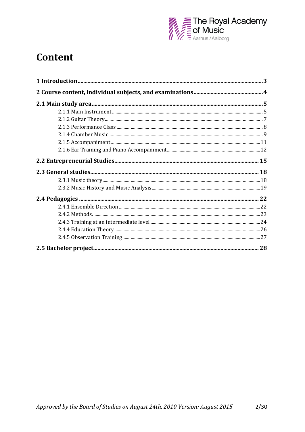

# Content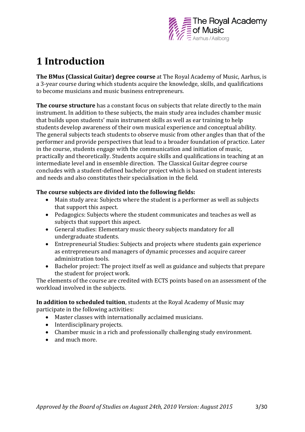

# <span id="page-2-0"></span>**1 Introduction**

**The BMus (Classical Guitar) degree course** at The Royal Academy of Music, Aarhus, is a 3-year course during which students acquire the knowledge, skills, and qualifications to become musicians and music business entrepreneurs.

**The course structure** has a constant focus on subjects that relate directly to the main instrument. In addition to these subjects, the main study area includes chamber music that builds upon students' main instrument skills as well as ear training to help students develop awareness of their own musical experience and conceptual ability. The general subjects teach students to observe music from other angles than that of the performer and provide perspectives that lead to a broader foundation of practice. Later in the course, students engage with the communication and initiation of music, practically and theoretically. Students acquire skills and qualifications in teaching at an intermediate level and in ensemble direction. The Classical Guitar degree course concludes with a student-defined bachelor project which is based on student interests and needs and also constitutes their specialisation in the field.

# **The course subjects are divided into the following fields:**

- Main study area: Subjects where the student is a performer as well as subjects that support this aspect.
- Pedagogics: Subjects where the student communicates and teaches as well as subjects that support this aspect.
- General studies: Elementary music theory subjects mandatory for all undergraduate students.
- Entrepreneurial Studies: Subjects and projects where students gain experience as entrepreneurs and managers of dynamic processes and acquire career administration tools.
- Bachelor project: The project itself as well as guidance and subjects that prepare the student for project work.

The elements of the course are credited with ECTS points based on an assessment of the workload involved in the subjects.

**In addition to scheduled tuition**, students at the Royal Academy of Music may participate in the following activities:

- Master classes with internationally acclaimed musicians.
- Interdisciplinary projects.
- Chamber music in a rich and professionally challenging study environment.
- and much more.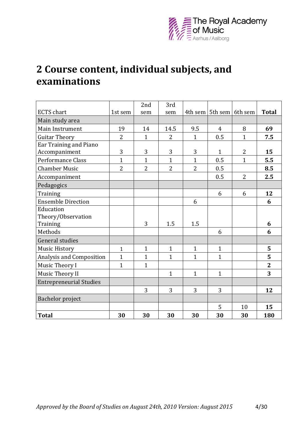

# <span id="page-3-0"></span>**2 Course content, individual subjects, and examinations**

|                                |                | 2nd            | 3rd            |                |                             |                |                |
|--------------------------------|----------------|----------------|----------------|----------------|-----------------------------|----------------|----------------|
| <b>ECTS</b> chart              | 1st sem        | sem            | sem            |                | 4th sem   5th sem   6th sem |                | <b>Total</b>   |
| Main study area                |                |                |                |                |                             |                |                |
| Main Instrument                | 19             | 14             | 14.5           | 9.5            | $\overline{4}$              | 8              | 69             |
| <b>Guitar Theory</b>           | $\overline{2}$ | $\mathbf{1}$   | $\overline{2}$ | $\mathbf{1}$   | 0.5                         | $\mathbf{1}$   | 7.5            |
| Ear Training and Piano         |                |                |                |                |                             |                |                |
| Accompaniment                  | 3              | 3              | 3              | 3              | $\mathbf{1}$                | $\overline{2}$ | 15             |
| Performance Class              | $\mathbf{1}$   | $\mathbf{1}$   | $\mathbf{1}$   | $\mathbf{1}$   | 0.5                         | $\mathbf{1}$   | 5.5            |
| <b>Chamber Music</b>           | $\overline{2}$ | $\overline{2}$ | $\overline{2}$ | $\overline{2}$ | 0.5                         |                | 8.5            |
| Accompaniment                  |                |                |                |                | 0.5                         | $\overline{2}$ | 2.5            |
| Pedagogics                     |                |                |                |                |                             |                |                |
| Training                       |                |                |                |                | 6                           | 6              | 12             |
| <b>Ensemble Direction</b>      |                |                |                | 6              |                             |                | 6              |
| Education                      |                |                |                |                |                             |                |                |
| Theory/Observation             |                |                |                |                |                             |                |                |
| Training                       |                | 3              | 1.5            | 1.5            |                             |                | 6              |
| Methods                        |                |                |                |                | 6                           |                | 6              |
| General studies                |                |                |                |                |                             |                |                |
| <b>Music History</b>           | $\mathbf{1}$   | $\mathbf{1}$   | $\mathbf{1}$   | $\mathbf{1}$   | $\mathbf{1}$                |                | 5              |
| Analysis and Composition       | $\mathbf{1}$   | $\mathbf{1}$   | $\mathbf{1}$   | $\mathbf{1}$   | $\mathbf{1}$                |                | 5              |
| Music Theory I                 | $\mathbf{1}$   | $\mathbf{1}$   |                |                |                             |                | $\overline{2}$ |
| Music Theory II                |                |                | $\mathbf{1}$   | $\mathbf{1}$   | $\mathbf{1}$                |                | 3              |
| <b>Entrepreneurial Studies</b> |                |                |                |                |                             |                |                |
|                                |                | 3              | 3              | 3              | 3                           |                | 12             |
| Bachelor project               |                |                |                |                |                             |                |                |
|                                |                |                |                |                | 5                           | 10             | 15             |
| <b>Total</b>                   | 30             | 30             | 30             | 30             | 30                          | 30             | 180            |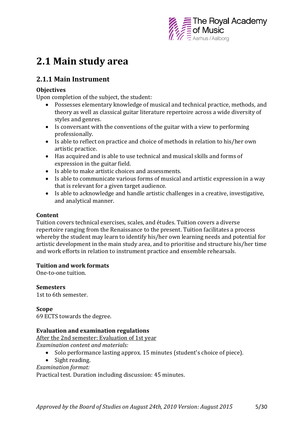

# <span id="page-4-0"></span>**2.1 Main study area**

# <span id="page-4-1"></span>**2.1.1 Main Instrument**

## **Objectives**

Upon completion of the subject, the student:

- Possesses elementary knowledge of musical and technical practice, methods, and theory as well as classical guitar literature repertoire across a wide diversity of styles and genres.
- Is conversant with the conventions of the guitar with a view to performing professionally.
- Is able to reflect on practice and choice of methods in relation to his/her own artistic practice.
- Has acquired and is able to use technical and musical skills and forms of expression in the guitar field.
- Is able to make artistic choices and assessments.
- Is able to communicate various forms of musical and artistic expression in a way that is relevant for a given target audience.
- Is able to acknowledge and handle artistic challenges in a creative, investigative, and analytical manner.

### **Content**

Tuition covers technical exercises, scales, and études. Tuition covers a diverse repertoire ranging from the Renaissance to the present. Tuition facilitates a process whereby the student may learn to identify his/her own learning needs and potential for artistic development in the main study area, and to prioritise and structure his/her time and work efforts in relation to instrument practice and ensemble rehearsals.

### **Tuition and work formats**

One-to-one tuition.

**Semesters**

1st to 6th semester.

**Scope**  69 ECTS towards the degree.

### **Evaluation and examination regulations**

After the 2nd semester: Evaluation of 1st year

*Examination content and materials:*

- Solo performance lasting approx. 15 minutes (student's choice of piece).
- Sight reading.
- *Examination format:*

Practical test. Duration including discussion: 45 minutes.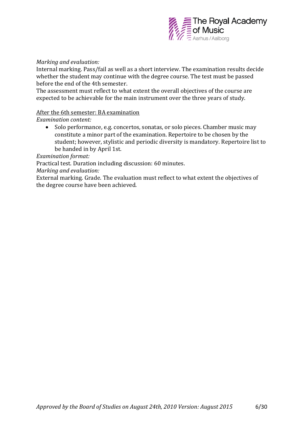

### *Marking and evaluation:*

Internal marking. Pass/fail as well as a short interview. The examination results decide whether the student may continue with the degree course. The test must be passed before the end of the 4th semester.

The assessment must reflect to what extent the overall objectives of the course are expected to be achievable for the main instrument over the three years of study.

### After the 6th semester: BA examination

*Examination content:*

• Solo performance, e.g. concertos, sonatas, or solo pieces. Chamber music may constitute a minor part of the examination. Repertoire to be chosen by the student; however, stylistic and periodic diversity is mandatory. Repertoire list to be handed in by April 1st.

*Examination format:*

Practical test. Duration including discussion: 60 minutes.

*Marking and evaluation:* 

External marking. Grade. The evaluation must reflect to what extent the objectives of the degree course have been achieved.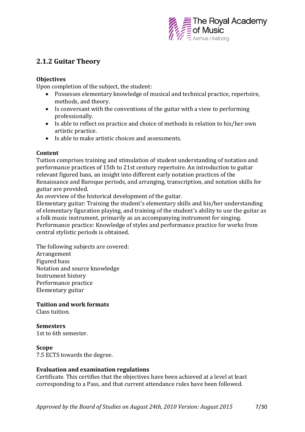

# <span id="page-6-0"></span>**2.1.2 Guitar Theory**

## **Objectives**

Upon completion of the subject, the student:

- Possesses elementary knowledge of musical and technical practice, repertoire, methods, and theory.
- Is conversant with the conventions of the guitar with a view to performing professionally.
- Is able to reflect on practice and choice of methods in relation to his/her own artistic practice.
- Is able to make artistic choices and assessments.

## **Content**

Tuition comprises training and stimulation of student understanding of notation and performance practices of 15th to 21st century repertoire. An introduction to guitar relevant figured bass, an insight into different early notation practices of the Renaissance and Baroque periods, and arranging, transcription, and notation skills for guitar are provided.

An overview of the historical development of the guitar.

Elementary guitar: Training the student's elementary skills and his/her understanding of elementary figuration playing, and training of the student's ability to use the guitar as a folk music instrument, primarily as an accompanying instrument for singing. Performance practice: Knowledge of styles and performance practice for works from central stylistic periods is obtained.

The following subjects are covered: Arrangement Figured bass Notation and source knowledge Instrument history Performance practice Elementary guitar

**Tuition and work formats**

Class tuition.

### **Semesters**

1st to 6th semester.

### **Scope**

7.5 ECTS towards the degree.

### **Evaluation and examination regulations**

Certificate. This certifies that the objectives have been achieved at a level at least corresponding to a Pass, and that current attendance rules have been followed.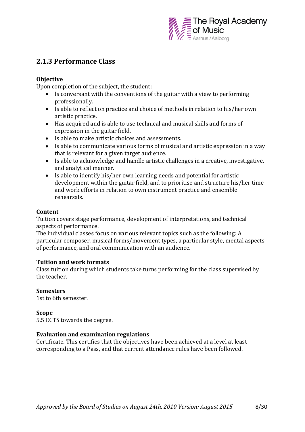

# <span id="page-7-0"></span>**2.1.3 Performance Class**

## **Objective**

Upon completion of the subject, the student:

- Is conversant with the conventions of the guitar with a view to performing professionally.
- Is able to reflect on practice and choice of methods in relation to his/her own artistic practice.
- Has acquired and is able to use technical and musical skills and forms of expression in the guitar field.
- Is able to make artistic choices and assessments.
- Is able to communicate various forms of musical and artistic expression in a way that is relevant for a given target audience.
- Is able to acknowledge and handle artistic challenges in a creative, investigative, and analytical manner.
- Is able to identify his/her own learning needs and potential for artistic development within the guitar field, and to prioritise and structure his/her time and work efforts in relation to own instrument practice and ensemble rehearsals.

## **Content**

Tuition covers stage performance, development of interpretations, and technical aspects of performance.

The individual classes focus on various relevant topics such as the following: A particular composer, musical forms/movement types, a particular style, mental aspects of performance, and oral communication with an audience.

### **Tuition and work formats**

Class tuition during which students take turns performing for the class supervised by the teacher.

# **Semesters**

1st to 6th semester.

### **Scope**

5.5 ECTS towards the degree.

### **Evaluation and examination regulations**

Certificate. This certifies that the objectives have been achieved at a level at least corresponding to a Pass, and that current attendance rules have been followed.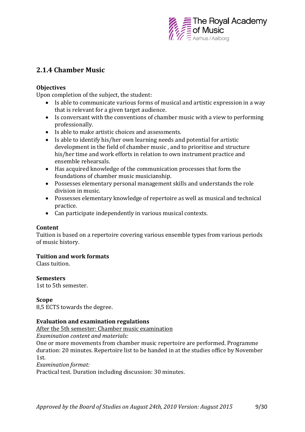

# <span id="page-8-0"></span>**2.1.4 Chamber Music**

## **Objectives**

Upon completion of the subject, the student:

- Is able to communicate various forms of musical and artistic expression in a way that is relevant for a given target audience.
- Is conversant with the conventions of chamber music with a view to performing professionally.
- Is able to make artistic choices and assessments.
- Is able to identify his/her own learning needs and potential for artistic development in the field of chamber music , and to prioritise and structure his/her time and work efforts in relation to own instrument practice and ensemble rehearsals.
- Has acquired knowledge of the communication processes that form the foundations of chamber music musicianship.
- Possesses elementary personal management skills and understands the role division in music.
- Possesses elementary knowledge of repertoire as well as musical and technical practice.
- Can participate independently in various musical contexts.

### **Content**

Tuition is based on a repertoire covering various ensemble types from various periods of music history.

# **Tuition and work formats**

Class tuition.

### **Semesters**

1st to 5th semester.

### **Scope**

8,5 ECTS towards the degree.

### **Evaluation and examination regulations**

After the 5th semester: Chamber music examination

*Examination content and materials:*

One or more movements from chamber music repertoire are performed. Programme duration: 20 minutes. Repertoire list to be handed in at the studies office by November 1st.

*Examination format:*

Practical test. Duration including discussion: 30 minutes.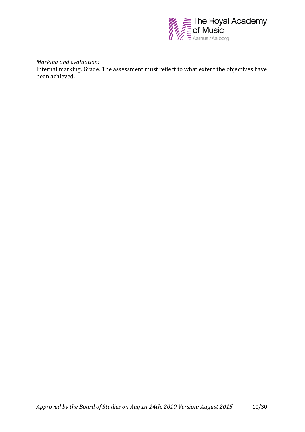

*Marking and evaluation:* 

Internal marking. Grade. The assessment must reflect to what extent the objectives have been achieved.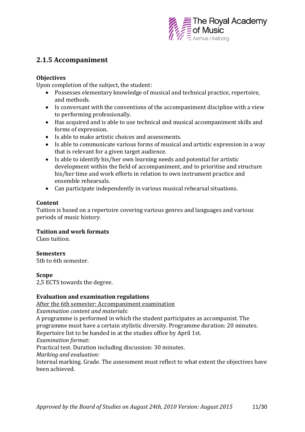

# <span id="page-10-0"></span>**2.1.5 Accompaniment**

## **Objectives**

Upon completion of the subject, the student:

- Possesses elementary knowledge of musical and technical practice, repertoire, and methods.
- Is conversant with the conventions of the accompaniment discipline with a view to performing professionally.
- Has acquired and is able to use technical and musical accompaniment skills and forms of expression.
- Is able to make artistic choices and assessments.
- Is able to communicate various forms of musical and artistic expression in a way that is relevant for a given target audience.
- Is able to identify his/her own learning needs and potential for artistic development within the field of accompaniment, and to prioritise and structure his/her time and work efforts in relation to own instrument practice and ensemble rehearsals.
- Can participate independently in various musical rehearsal situations.

## **Content**

Tuition is based on a repertoire covering various genres and languages and various periods of music history.

# **Tuition and work formats**

Class tuition.

### **Semesters**

5th to 6th semester.

### **Scope**

2,5 ECTS towards the degree.

### **Evaluation and examination regulations**

After the 6th semester: Accompaniment examination

*Examination content and materials:*

A programme is performed in which the student participates as accompanist. The programme must have a certain stylistic diversity. Programme duration: 20 minutes. Repertoire list to be handed in at the studies office by April 1st. *Examination format:* Practical test. Duration including discussion: 30 minutes. *Marking and evaluation:*  Internal marking. Grade. The assessment must reflect to what extent the objectives have been achieved.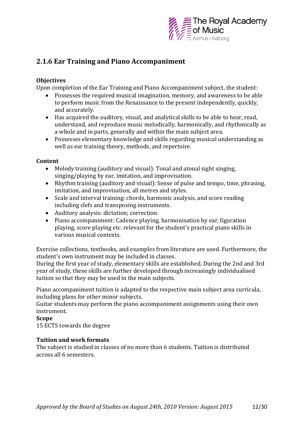

# <span id="page-11-0"></span>**2.1.6 Ear Training and Piano Accompaniment**

# **Objectives**

Upon completion of the Ear Training and Piano Accompaniment subject, the student:

- Possesses the required musical imagination, memory, and awareness to be able to perform music from the Renaissance to the present independently, quickly, and accurately.
- Has acquired the auditory, visual, and analytical skills to be able to hear, read, understand, and reproduce music melodically, harmonically, and rhythmically as a whole and in parts, generally and within the main subject area.
- Possesses elementary knowledge and skills regarding musical understanding as well as ear training theory, methods, and repertoire.

# **Content**

- Melody training (auditory and visual): Tonal and atonal sight singing, singing/playing by ear, imitation, and improvisation.
- Rhythm training (auditory and visual): Sense of pulse and tempo, time, phrasing, imitation, and improvisation, all metres and styles.
- Scale and interval training: chords, harmonic analysis, and score reading including clefs and transposing instruments.
- Auditory analysis: dictation; correction.
- Piano accompaniment: Cadence playing, harmonisation by ear, figuration playing, score playing etc. relevant for the student's practical piano skills in various musical contexts.

Exercise collections, textbooks, and examples from literature are used. Furthermore, the student's own instrument may be included in classes.

During the first year of study, elementary skills are established. During the 2nd and 3rd year of study, these skills are further developed through increasingly individualised tuition so that they may be used in the main subjects.

Piano accompaniment tuition is adapted to the respective main subject area curricula, including plans for other minor subjects.

Guitar students may perform the piano accompaniment assignments using their own instrument.

# **Scope**

15 ECTS towards the degree

# **Tuition and work formats**

The subject is studied in classes of no more than 6 students. Tuition is distributed across all 6 semesters.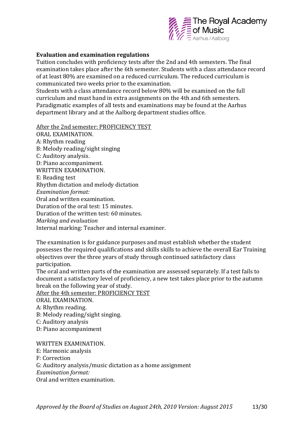

#### **Evaluation and examination regulations**

Tuition concludes with proficiency tests after the 2nd and 4th semesters. The final examination takes place after the 6th semester. Students with a class attendance record of at least 80% are examined on a reduced curriculum. The reduced curriculum is communicated two weeks prior to the examination.

Students with a class attendance record below 80% will be examined on the full curriculum and must hand in extra assignments on the 4th and 6th semesters. Paradigmatic examples of all tests and examinations may be found at the Aarhus department library and at the Aalborg department studies office.

After the 2nd semester: PROFICIENCY TEST

ORAL EXAMINATION. A: Rhythm reading B: Melody reading/sight singing C: Auditory analysis. D: Piano accompaniment. WRITTEN EXAMINATION. E: Reading test Rhythm dictation and melody dictation *Examination format:*  Oral and written examination. Duration of the oral test: 15 minutes. Duration of the written test: 60 minutes. *Marking and evaluation* Internal marking: Teacher and internal examiner.

The examination is for guidance purposes and must establish whether the student possesses the required qualifications and skills skills to achieve the overall Ear Training objectives over the three years of study through continued satisfactory class participation.

The oral and written parts of the examination are assessed separately. If a test fails to document a satisfactory level of proficiency, a new test takes place prior to the autumn break on the following year of study.

After the 4th semester: PROFICIENCY TEST

ORAL EXAMINATION.

- A: Rhythm reading.
- B: Melody reading/sight singing.
- C: Auditory analysis
- D: Piano accompaniment

WRITTEN EXAMINATION.

E: Harmonic analysis

F: Correction

G: Auditory analysis/music dictation as a home assignment

*Examination format:* 

Oral and written examination.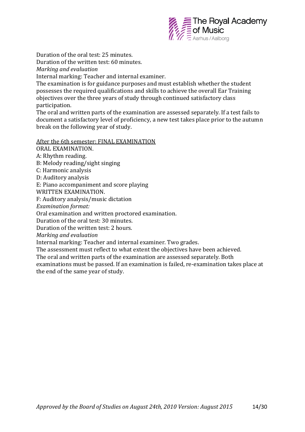

Duration of the oral test: 25 minutes. Duration of the written test: 60 minutes.

*Marking and evaluation*

Internal marking: Teacher and internal examiner.

The examination is for guidance purposes and must establish whether the student possesses the required qualifications and skills to achieve the overall Ear Training objectives over the three years of study through continued satisfactory class participation.

The oral and written parts of the examination are assessed separately. If a test fails to document a satisfactory level of proficiency, a new test takes place prior to the autumn break on the following year of study.

After the 6th semester: FINAL EXAMINATION

ORAL EXAMINATION.

A: Rhythm reading.

B: Melody reading/sight singing

C: Harmonic analysis

D: Auditory analysis

E: Piano accompaniment and score playing

WRITTEN EXAMINATION.

F: Auditory analysis/music dictation

*Examination format:*

Oral examination and written proctored examination.

Duration of the oral test: 30 minutes.

Duration of the written test: 2 hours.

*Marking and evaluation*

Internal marking: Teacher and internal examiner. Two grades.

The assessment must reflect to what extent the objectives have been achieved.

The oral and written parts of the examination are assessed separately. Both

examinations must be passed. If an examination is failed, re-examination takes place at the end of the same year of study.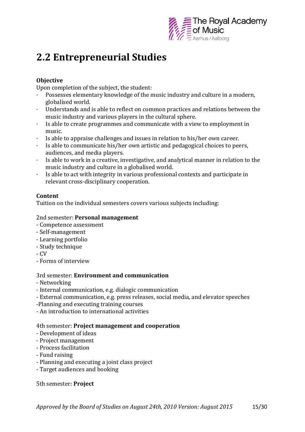

# <span id="page-14-0"></span>**2.2 Entrepreneurial Studies**

# **Objective**

Upon completion of the subject, the student:

- Possesses elementary knowledge of the music industry and culture in a modern, globalised world.
- Understands and is able to reflect on common practices and relations between the music industry and various players in the cultural sphere.
- Is able to create programmes and communicate with a view to employment in music.
- Is able to appraise challenges and issues in relation to his/her own career.
- · Is able to communicate his/her own artistic and pedagogical choices to peers, audiences, and media players.
- Is able to work in a creative, investigative, and analytical manner in relation to the music industry and culture in a globalised world.
- · Is able to act with integrity in various professional contexts and participate in relevant cross-disciplinary cooperation.

# **Content**

Tuition on the individual semesters covers various subjects including:

## 2nd semester: **Personal management**

- Competence assessment
- Self-management
- Learning portfolio
- Study technique
- CV
- Forms of interview

# 3rd semester: **Environment and communication**

- Networking
- Internal communication, e.g. dialogic communication
- External communication, e.g. press releases, social media, and elevator speeches
- -Planning and executing training courses
- An introduction to international activities

# 4th semester: **Project management and cooperation**

- Development of ideas
- Project management
- Process facilitation
- Fund raising
- Planning and executing a joint class project
- Target audiences and booking

5th semester: **Project**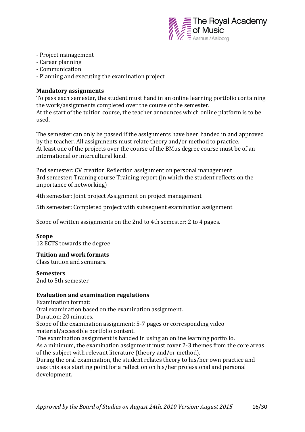

- Project management
- Career planning
- Communication
- Planning and executing the examination project

### **Mandatory assignments**

To pass each semester, the student must hand in an online learning portfolio containing the work/assignments completed over the course of the semester. At the start of the tuition course, the teacher announces which online platform is to be used.

The semester can only be passed if the assignments have been handed in and approved by the teacher. All assignments must relate theory and/or method to practice. At least one of the projects over the course of the BMus degree course must be of an international or intercultural kind.

2nd semester: CV creation Reflection assignment on personal management 3rd semester: Training course Training report (in which the student reflects on the importance of networking)

4th semester: Joint project Assignment on project management

5th semester: Completed project with subsequent examination assignment

Scope of written assignments on the 2nd to 4th semester: 2 to 4 pages.

### **Scope**

12 ECTS towards the degree

### **Tuition and work formats**

Class tuition and seminars.

#### **Semesters**

2nd to 5th semester

#### **Evaluation and examination regulations**

Examination format:

Oral examination based on the examination assignment.

Duration: 20 minutes.

Scope of the examination assignment: 5-7 pages or corresponding video material/accessible portfolio content.

The examination assignment is handed in using an online learning portfolio.

As a minimum, the examination assignment must cover 2-3 themes from the core areas of the subject with relevant literature (theory and/or method).

During the oral examination, the student relates theory to his/her own practice and uses this as a starting point for a reflection on his/her professional and personal development.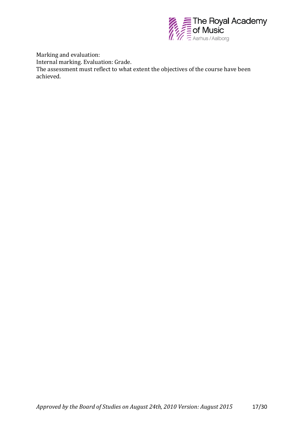

Marking and evaluation: Internal marking. Evaluation: Grade. The assessment must reflect to what extent the objectives of the course have been achieved.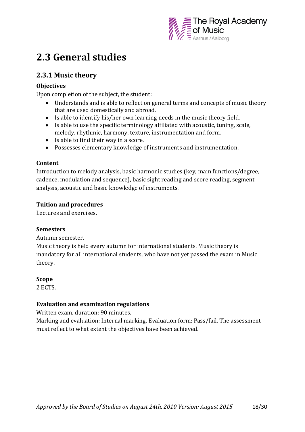

# <span id="page-17-0"></span>**2.3 General studies**

# <span id="page-17-1"></span>**2.3.1 Music theory**

# **Objectives**

Upon completion of the subject, the student:

- Understands and is able to reflect on general terms and concepts of music theory that are used domestically and abroad.
- Is able to identify his/her own learning needs in the music theory field.
- Is able to use the specific terminology affiliated with acoustic, tuning, scale, melody, rhythmic, harmony, texture, instrumentation and form.
- Is able to find their way in a score.
- Possesses elementary knowledge of instruments and instrumentation.

# **Content**

Introduction to melody analysis, basic harmonic studies (key, main functions/degree, cadence, modulation and sequence), basic sight reading and score reading, segment analysis, acoustic and basic knowledge of instruments.

# **Tuition and procedures**

Lectures and exercises.

# **Semesters**

Autumn semester.

Music theory is held every autumn for international students. Music theory is mandatory for all international students, who have not yet passed the exam in Music theory.

### **Scope**

2 ECTS.

# **Evaluation and examination regulations**

Written exam, duration: 90 minutes.

Marking and evaluation: Internal marking. Evaluation form: Pass/fail. The assessment must reflect to what extent the objectives have been achieved.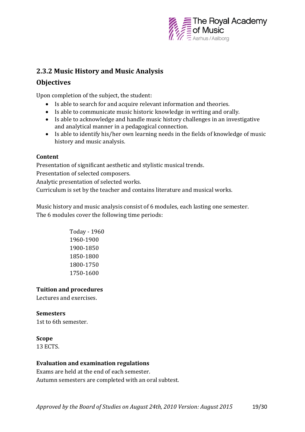

# <span id="page-18-0"></span>**2.3.2 Music History and Music Analysis**

# **Objectives**

Upon completion of the subject, the student:

- Is able to search for and acquire relevant information and theories.
- Is able to communicate music historic knowledge in writing and orally.
- Is able to acknowledge and handle music history challenges in an investigative and analytical manner in a pedagogical connection.
- Is able to identify his/her own learning needs in the fields of knowledge of music history and music analysis.

# **Content**

Presentation of significant aesthetic and stylistic musical trends.

Presentation of selected composers.

Analytic presentation of selected works.

Curriculum is set by the teacher and contains literature and musical works.

Music history and music analysis consist of 6 modules, each lasting one semester. The 6 modules cover the following time periods:

> Today - 1960 1960-1900 1900-1850 1850-1800 1800-1750 1750-1600

# **Tuition and procedures**

Lectures and exercises.

# **Semesters**

1st to 6th semester.

# **Scope**

13 ECTS.

# **Evaluation and examination regulations**

Exams are held at the end of each semester. Autumn semesters are completed with an oral subtest.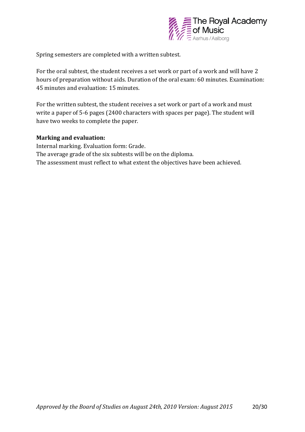

Spring semesters are completed with a written subtest.

For the oral subtest, the student receives a set work or part of a work and will have 2 hours of preparation without aids. Duration of the oral exam: 60 minutes. Examination: 45 minutes and evaluation: 15 minutes.

For the written subtest, the student receives a set work or part of a work and must write a paper of 5-6 pages (2400 characters with spaces per page). The student will have two weeks to complete the paper.

### **Marking and evaluation:**

Internal marking. Evaluation form: Grade. The average grade of the six subtests will be on the diploma. The assessment must reflect to what extent the objectives have been achieved.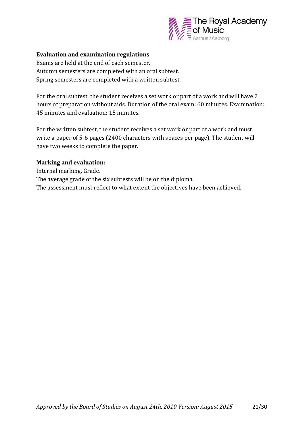

### **Evaluation and examination regulations**

Exams are held at the end of each semester. Autumn semesters are completed with an oral subtest. Spring semesters are completed with a written subtest.

For the oral subtest, the student receives a set work or part of a work and will have 2 hours of preparation without aids. Duration of the oral exam: 60 minutes. Examination: 45 minutes and evaluation: 15 minutes.

For the written subtest, the student receives a set work or part of a work and must write a paper of 5-6 pages (2400 characters with spaces per page). The student will have two weeks to complete the paper.

### **Marking and evaluation:**

Internal marking. Grade. The average grade of the six subtests will be on the diploma. The assessment must reflect to what extent the objectives have been achieved.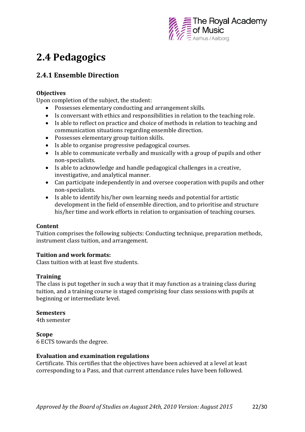

# <span id="page-21-0"></span>**2.4 Pedagogics**

# <span id="page-21-1"></span>**2.4.1 Ensemble Direction**

## **Objectives**

Upon completion of the subject, the student:

- Possesses elementary conducting and arrangement skills.
- Is conversant with ethics and responsibilities in relation to the teaching role.
- Is able to reflect on practice and choice of methods in relation to teaching and communication situations regarding ensemble direction.
- Possesses elementary group tuition skills.
- Is able to organise progressive pedagogical courses.
- Is able to communicate verbally and musically with a group of pupils and other non-specialists.
- Is able to acknowledge and handle pedagogical challenges in a creative, investigative, and analytical manner.
- Can participate independently in and oversee cooperation with pupils and other non-specialists.
- Is able to identify his/her own learning needs and potential for artistic development in the field of ensemble direction, and to prioritise and structure his/her time and work efforts in relation to organisation of teaching courses.

### **Content**

Tuition comprises the following subjects: Conducting technique, preparation methods, instrument class tuition, and arrangement.

# **Tuition and work formats:**

Class tuition with at least five students.

# **Training**

The class is put together in such a way that it may function as a training class during tuition, and a training course is staged comprising four class sessions with pupils at beginning or intermediate level.

### **Semesters**

4th semester

### **Scope**

6 ECTS towards the degree.

### **Evaluation and examination regulations**

Certificate. This certifies that the objectives have been achieved at a level at least corresponding to a Pass, and that current attendance rules have been followed.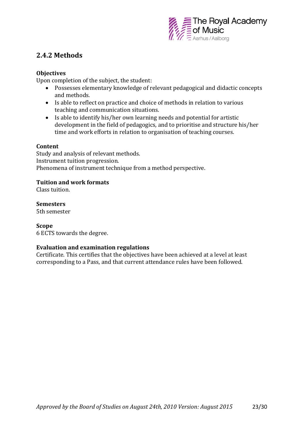

# <span id="page-22-0"></span>**2.4.2 Methods**

## **Objectives**

Upon completion of the subject, the student:

- Possesses elementary knowledge of relevant pedagogical and didactic concepts and methods.
- Is able to reflect on practice and choice of methods in relation to various teaching and communication situations.
- Is able to identify his/her own learning needs and potential for artistic development in the field of pedagogics, and to prioritise and structure his/her time and work efforts in relation to organisation of teaching courses.

### **Content**

Study and analysis of relevant methods. Instrument tuition progression. Phenomena of instrument technique from a method perspective.

## **Tuition and work formats**

Class tuition.

**Semesters** 5th semester

### **Scope**

6 ECTS towards the degree.

### **Evaluation and examination regulations**

Certificate. This certifies that the objectives have been achieved at a level at least corresponding to a Pass, and that current attendance rules have been followed.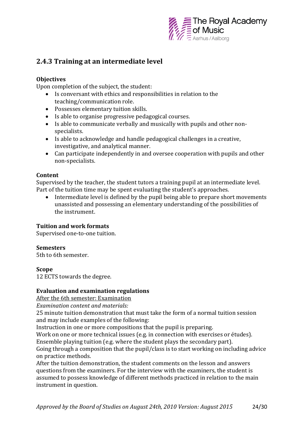

# <span id="page-23-0"></span>**2.4.3 Training at an intermediate level**

# **Objectives**

Upon completion of the subject, the student:

- Is conversant with ethics and responsibilities in relation to the teaching/communication role.
- Possesses elementary tuition skills.
- Is able to organise progressive pedagogical courses.
- Is able to communicate verbally and musically with pupils and other nonspecialists.
- Is able to acknowledge and handle pedagogical challenges in a creative, investigative, and analytical manner.
- Can participate independently in and oversee cooperation with pupils and other non-specialists.

## **Content**

Supervised by the teacher, the student tutors a training pupil at an intermediate level. Part of the tuition time may be spent evaluating the student's approaches.

 Intermediate level is defined by the pupil being able to prepare short movements unassisted and possessing an elementary understanding of the possibilities of the instrument.

# **Tuition and work formats**

Supervised one-to-one tuition.

# **Semesters**

5th to 6th semester.

# **Scope**

12 ECTS towards the degree.

### **Evaluation and examination regulations**

After the 6th semester: Examination

*Examination content and materials:*

25 minute tuition demonstration that must take the form of a normal tuition session and may include examples of the following:

Instruction in one or more compositions that the pupil is preparing.

Work on one or more technical issues (e.g. in connection with exercises or études).

Ensemble playing tuition (e.g. where the student plays the secondary part).

Going through a composition that the pupil/class is to start working on including advice on practice methods.

After the tuition demonstration, the student comments on the lesson and answers questions from the examiners. For the interview with the examiners, the student is assumed to possess knowledge of different methods practiced in relation to the main instrument in question.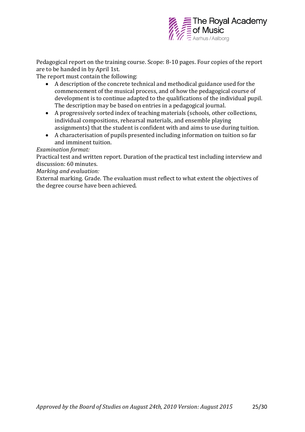

Pedagogical report on the training course. Scope: 8-10 pages. Four copies of the report are to be handed in by April 1st.

The report must contain the following:

- A description of the concrete technical and methodical guidance used for the commencement of the musical process, and of how the pedagogical course of development is to continue adapted to the qualifications of the individual pupil. The description may be based on entries in a pedagogical journal.
- A progressively sorted index of teaching materials (schools, other collections, individual compositions, rehearsal materials, and ensemble playing assignments) that the student is confident with and aims to use during tuition.
- A characterisation of pupils presented including information on tuition so far and imminent tuition.

## *Examination format:*

Practical test and written report. Duration of the practical test including interview and discussion: 60 minutes.

*Marking and evaluation:*

External marking. Grade. The evaluation must reflect to what extent the objectives of the degree course have been achieved.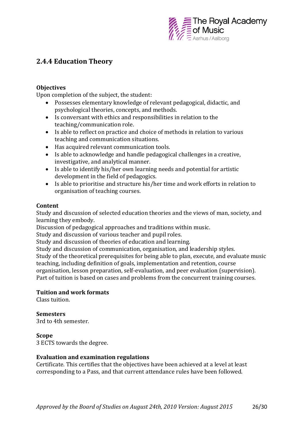

# <span id="page-25-0"></span>**2.4.4 Education Theory**

## **Objectives**

Upon completion of the subject, the student:

- Possesses elementary knowledge of relevant pedagogical, didactic, and psychological theories, concepts, and methods.
- Is conversant with ethics and responsibilities in relation to the teaching/communication role.
- Is able to reflect on practice and choice of methods in relation to various teaching and communication situations.
- Has acquired relevant communication tools.
- Is able to acknowledge and handle pedagogical challenges in a creative, investigative, and analytical manner.
- Is able to identify his/her own learning needs and potential for artistic development in the field of pedagogics.
- Is able to prioritise and structure his/her time and work efforts in relation to organisation of teaching courses.

### **Content**

Study and discussion of selected education theories and the views of man, society, and learning they embody.

Discussion of pedagogical approaches and traditions within music.

Study and discussion of various teacher and pupil roles.

Study and discussion of theories of education and learning.

Study and discussion of communication, organisation, and leadership styles.

Study of the theoretical prerequisites for being able to plan, execute, and evaluate music teaching, including definition of goals, implementation and retention, course organisation, lesson preparation, self-evaluation, and peer evaluation (supervision).

Part of tuition is based on cases and problems from the concurrent training courses.

### **Tuition and work formats**

Class tuition.

# **Semesters**

3rd to 4th semester.

### **Scope**

3 ECTS towards the degree.

### **Evaluation and examination regulations**

Certificate. This certifies that the objectives have been achieved at a level at least corresponding to a Pass, and that current attendance rules have been followed.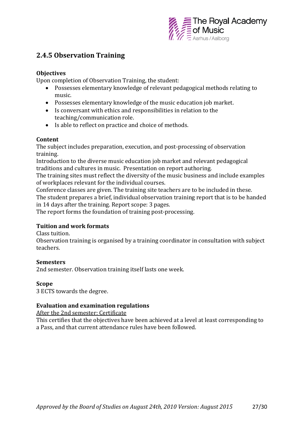

# <span id="page-26-0"></span>**2.4.5 Observation Training**

## **Objectives**

Upon completion of Observation Training, the student:

- Possesses elementary knowledge of relevant pedagogical methods relating to music.
- Possesses elementary knowledge of the music education job market.
- Is conversant with ethics and responsibilities in relation to the teaching/communication role.
- Is able to reflect on practice and choice of methods.

## **Content**

The subject includes preparation, execution, and post-processing of observation training.

Introduction to the diverse music education job market and relevant pedagogical traditions and cultures in music. Presentation on report authoring.

The training sites must reflect the diversity of the music business and include examples of workplaces relevant for the individual courses.

Conference classes are given. The training site teachers are to be included in these.

The student prepares a brief, individual observation training report that is to be handed in 14 days after the training. Report scope: 3 pages.

The report forms the foundation of training post-processing.

# **Tuition and work formats**

Class tuition.

Observation training is organised by a training coordinator in consultation with subject teachers.

# **Semesters**

2nd semester. Observation training itself lasts one week.

### **Scope**

3 ECTS towards the degree.

# **Evaluation and examination regulations**

After the 2nd semester: Certificate

This certifies that the objectives have been achieved at a level at least corresponding to a Pass, and that current attendance rules have been followed.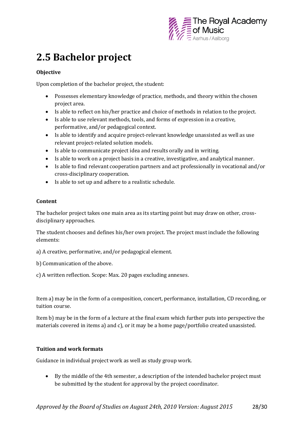

# <span id="page-27-0"></span>**2.5 Bachelor project**

## **Objective**

Upon completion of the bachelor project, the student:

- Possesses elementary knowledge of practice, methods, and theory within the chosen project area.
- Is able to reflect on his/her practice and choice of methods in relation to the project.
- Is able to use relevant methods, tools, and forms of expression in a creative, performative, and/or pedagogical context.
- Is able to identify and acquire project-relevant knowledge unassisted as well as use relevant project-related solution models.
- Is able to communicate project idea and results orally and in writing.
- Is able to work on a project basis in a creative, investigative, and analytical manner.
- Is able to find relevant cooperation partners and act professionally in vocational and/or cross-disciplinary cooperation.
- Is able to set up and adhere to a realistic schedule.

### **Content**

The bachelor project takes one main area as its starting point but may draw on other, crossdisciplinary approaches.

The student chooses and defines his/her own project. The project must include the following elements:

a) A creative, performative, and/or pedagogical element.

- b) Communication of the above.
- c) A written reflection. Scope: Max. 20 pages excluding annexes.

Item a) may be in the form of a composition, concert, performance, installation, CD recording, or tuition course.

Item b) may be in the form of a lecture at the final exam which further puts into perspective the materials covered in items a) and c), or it may be a home page/portfolio created unassisted.

### **Tuition and work formats**

Guidance in individual project work as well as study group work.

 By the middle of the 4th semester, a description of the intended bachelor project must be submitted by the student for approval by the project coordinator.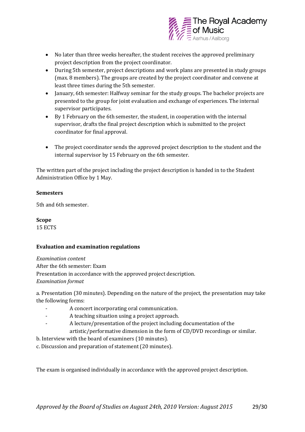

- No later than three weeks hereafter, the student receives the approved preliminary project description from the project coordinator.
- During 5th semester, project descriptions and work plans are presented in study groups (max. 8 members). The groups are created by the project coordinator and convene at least three times during the 5th semester.
- January, 6th semester: Halfway seminar for the study groups. The bachelor projects are presented to the group for joint evaluation and exchange of experiences. The internal supervisor participates.
- By 1 February on the 6th semester, the student, in cooperation with the internal supervisor, drafts the final project description which is submitted to the project coordinator for final approval.
- The project coordinator sends the approved project description to the student and the internal supervisor by 15 February on the 6th semester.

The written part of the project including the project description is handed in to the Student Administration Office by 1 May.

### **Semesters**

5th and 6th semester.

**Scope** 15 ECTS

### **Evaluation and examination regulations**

*Examination content* After the 6th semester: Exam Presentation in accordance with the approved project description. *Examination format*

a. Presentation (30 minutes). Depending on the nature of the project, the presentation may take the following forms:

- A concert incorporating oral communication.
- A teaching situation using a project approach.
- A lecture/presentation of the project including documentation of the artistic/performative dimension in the form of CD/DVD recordings or similar.
- b. Interview with the board of examiners (10 minutes).
- c. Discussion and preparation of statement (20 minutes).

The exam is organised individually in accordance with the approved project description.